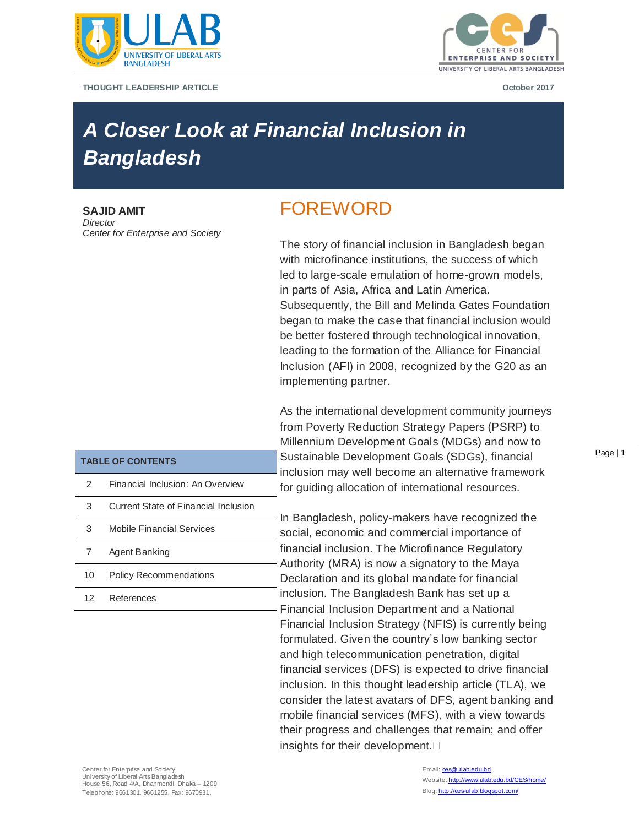

**THOUGHT LEADERSHIP ARTICLE October 2017**



# *A Closer Look at Financial Inclusion in Bangladesh*

**SAJID AMIT** *Director Center for Enterprise and Society*

**TABLE OF CONTENTS**

7 Agent Banking

12 References

2 Financial Inclusion: An Overview

3 Mobile Financial Services

10 Policy Recommendations

3 Current State of Financial Inclusion

## FOREWORD

The story of financial inclusion in Bangladesh began with microfinance institutions, the success of which led to large-scale emulation of home-grown models, in parts of Asia, Africa and Latin America. Subsequently, the Bill and Melinda Gates Foundation began to make the case that financial inclusion would be better fostered through technological innovation, leading to the formation of the Alliance for Financial Inclusion (AFI) in 2008, recognized by the G20 as an implementing partner.

As the international development community journeys from Poverty Reduction Strategy Papers (PSRP) to Millennium Development Goals (MDGs) and now to Sustainable Development Goals (SDGs), financial inclusion may well become an alternative framework for guiding allocation of international resources.

In Bangladesh, policy-makers have recognized the social, economic and commercial importance of financial inclusion. The Microfinance Regulatory Authority (MRA) is now a signatory to the Maya Declaration and its global mandate for financial inclusion. The Bangladesh Bank has set up a Financial Inclusion Department and a National Financial Inclusion Strategy (NFIS) is currently being formulated. Given the country's low banking sector and high telecommunication penetration, digital financial services (DFS) is expected to drive financial inclusion. In this thought leadership article (TLA), we consider the latest avatars of DFS, agent banking and mobile financial services (MFS), with a view towards their progress and challenges that remain; and offer insights for their development.

#### Email: ces@ulab.edu.bd Website: http://www.ulab.edu.bd/CES/home/ Blog: http://œs-ulab.blogspot.com/

#### Page | 1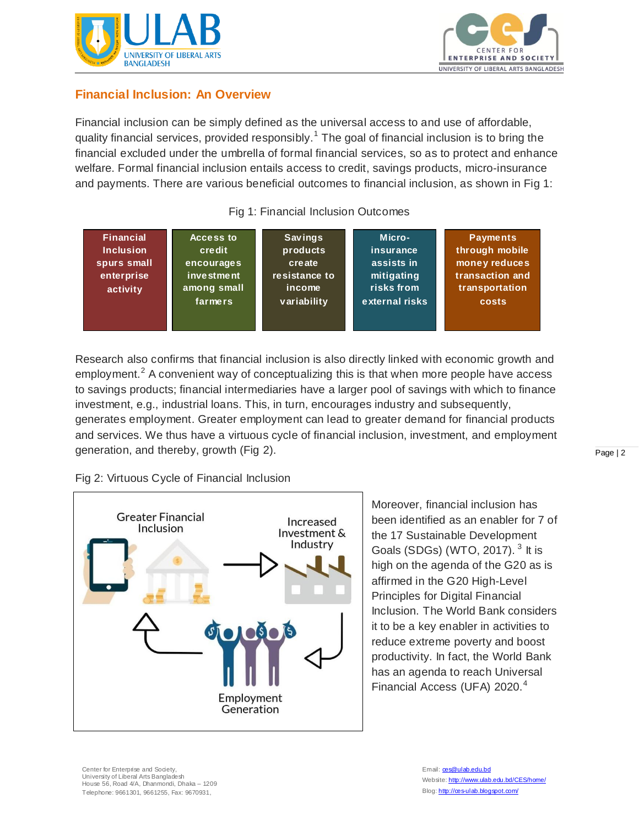



## **Financial Inclusion: An Overview**

Financial inclusion can be simply defined as the universal access to and use of affordable, quality financial services, provided responsibly.<sup>1</sup> The goal of financial inclusion is to bring the financial excluded under the umbrella of formal financial services, so as to protect and enhance welfare. Formal financial inclusion entails access to credit, savings products, micro-insurance and payments. There are various beneficial outcomes to financial inclusion, as shown in Fig 1:

## Fig 1: Financial Inclusion Outcomes



Research also confirms that financial inclusion is also directly linked with economic growth and employment.<sup>2</sup> A convenient way of conceptualizing this is that when more people have access to savings products; financial intermediaries have a larger pool of savings with which to finance investment, e.g., industrial loans. This, in turn, encourages industry and subsequently, generates employment. Greater employment can lead to greater demand for financial products and services. We thus have a virtuous cycle of financial inclusion, investment, and employment generation, and thereby, growth (Fig 2).

Fig 2: Virtuous Cycle of Financial Inclusion



Moreover, financial inclusion has been identified as an enabler for 7 of the 17 Sustainable Development Goals (SDGs) (WTO, 2017).<sup>3</sup> It is high on the agenda of the G20 as is affirmed in the G20 High-Level Principles for Digital Financial Inclusion. The World Bank considers it to be a key enabler in activities to reduce extreme poverty and boost productivity. In fact, the World Bank has an agenda to reach Universal Financial Access (UFA) 2020.<sup>4</sup>

Center for Enterprise and Society. University of Liberal Arts Bangladesh House 56, Road 4/A, Dhanmondi, Dhaka – 1209 Telephone: 9661301, 9661255, Fax: 9670931,

Page | 2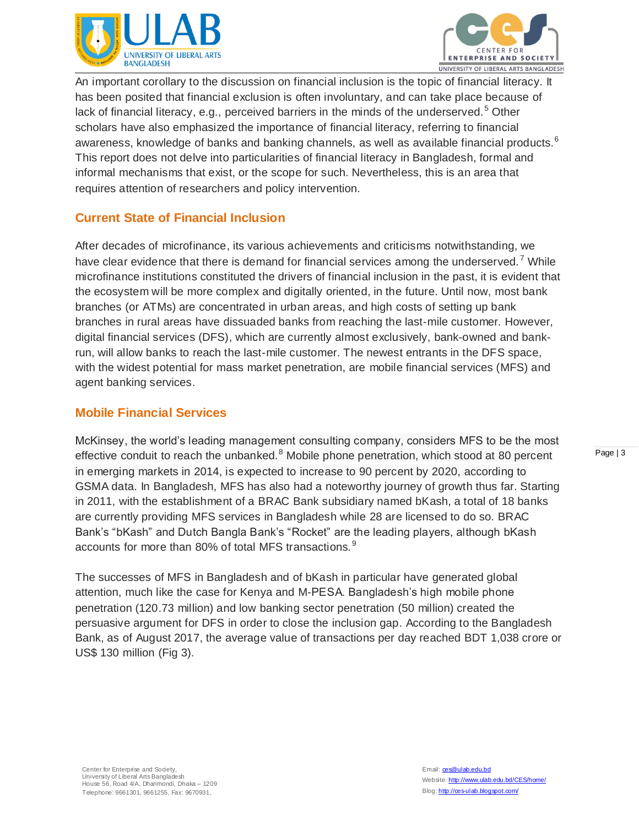



An important corollary to the discussion on financial inclusion is the topic of financial literacy. It has been posited that financial exclusion is often involuntary, and can take place because of lack of financial literacy, e.g., perceived barriers in the minds of the underserved.<sup>5</sup> Other scholars have also emphasized the importance of financial literacy, referring to financial awareness, knowledge of banks and banking channels, as well as available financial products.<sup>6</sup> This report does not delve into particularities of financial literacy in Bangladesh, formal and informal mechanisms that exist, or the scope for such. Nevertheless, this is an area that requires attention of researchers and policy intervention.

## **Current State of Financial Inclusion**

After decades of microfinance, its various achievements and criticisms notwithstanding, we have clear evidence that there is demand for financial services among the underserved.<sup>7</sup> While microfinance institutions constituted the drivers of financial inclusion in the past, it is evident that the ecosystem will be more complex and digitally oriented, in the future. Until now, most bank branches (or ATMs) are concentrated in urban areas, and high costs of setting up bank branches in rural areas have dissuaded banks from reaching the last-mile customer. However, digital financial services (DFS), which are currently almost exclusively, bank-owned and bankrun, will allow banks to reach the last-mile customer. The newest entrants in the DFS space, with the widest potential for mass market penetration, are mobile financial services (MFS) and agent banking services.

## **Mobile Financial Services**

McKinsey, the world's leading management consulting company, considers MFS to be the most effective conduit to reach the unbanked. $8$  Mobile phone penetration, which stood at 80 percent in emerging markets in 2014, is expected to increase to 90 percent by 2020, according to GSMA data. In Bangladesh, MFS has also had a noteworthy journey of growth thus far. Starting in 2011, with the establishment of a BRAC Bank subsidiary named bKash, a total of 18 banks are currently providing MFS services in Bangladesh while 28 are licensed to do so. BRAC Bank's "bKash" and Dutch Bangla Bank's "Rocket" are the leading players, although bKash accounts for more than 80% of total MFS transactions.<sup>9</sup>

The successes of MFS in Bangladesh and of bKash in particular have generated global attention, much like the case for Kenya and M-PESA. Bangladesh's high mobile phone penetration (120.73 million) and low banking sector penetration (50 million) created the persuasive argument for DFS in order to close the inclusion gap. According to the Bangladesh Bank, as of August 2017, the average value of transactions per day reached BDT 1,038 crore or US\$ 130 million (Fig 3).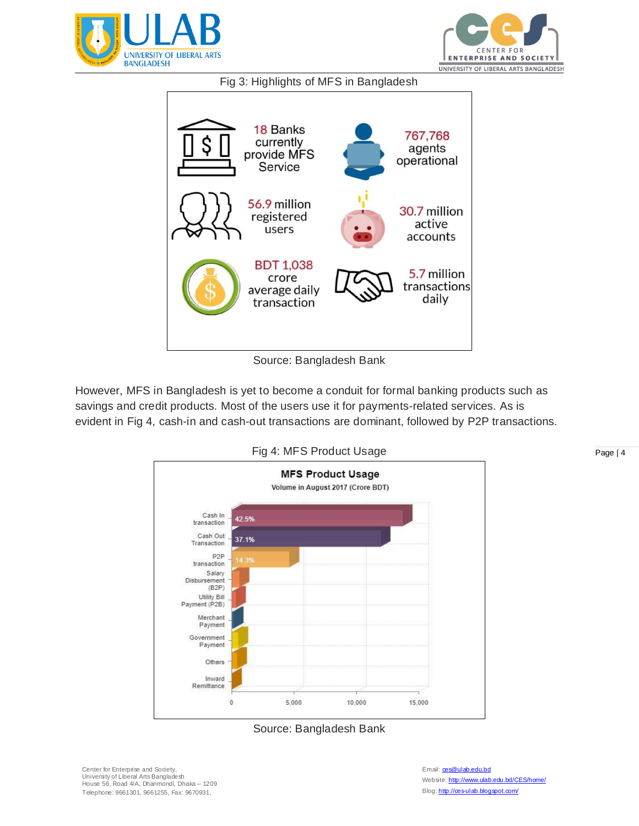



## Fig 3: Highlights of MFS in Bangladesh



Source: Bangladesh Bank

However, MFS in Bangladesh is yet to become a conduit for formal banking products such as savings and credit products. Most of the users use it for payments-related services. As is evident in Fig 4, cash-in and cash-out transactions are dominant, followed by P2P transactions.





Page | 4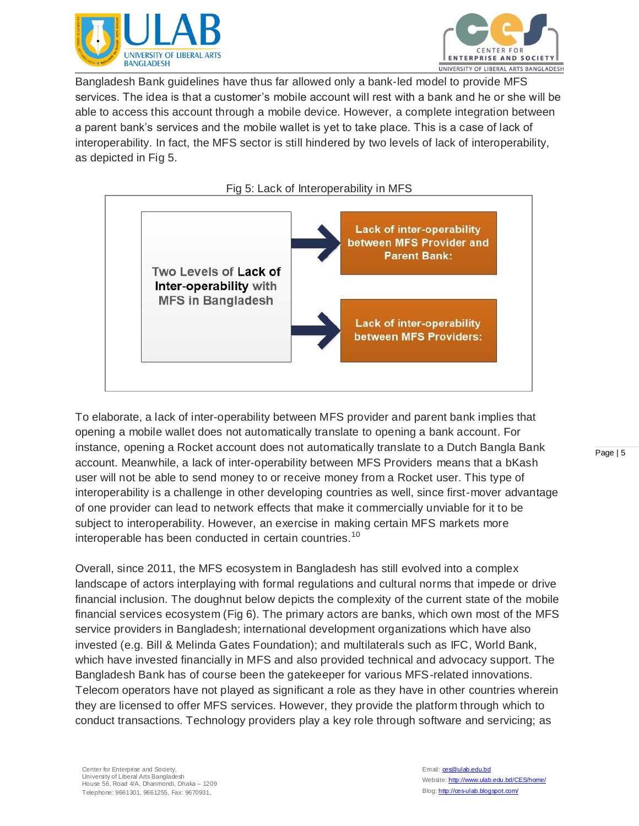



Bangladesh Bank guidelines have thus far allowed only a bank-led model to provide MFS services. The idea is that a customer's mobile account will rest with a bank and he or she will be able to access this account through a mobile device. However, a complete integration between a parent bank's services and the mobile wallet is yet to take place. This is a case of lack of interoperability. In fact, the MFS sector is still hindered by two levels of lack of interoperability, as depicted in Fig 5.

Fig 5: Lack of Interoperability in MFS



To elaborate, a lack of inter-operability between MFS provider and parent bank implies that opening a mobile wallet does not automatically translate to opening a bank account. For instance, opening a Rocket account does not automatically translate to a Dutch Bangla Bank account. Meanwhile, a lack of inter-operability between MFS Providers means that a bKash user will not be able to send money to or receive money from a Rocket user. This type of interoperability is a challenge in other developing countries as well, since first-mover advantage of one provider can lead to network effects that make it commercially unviable for it to be subject to interoperability. However, an exercise in making certain MFS markets more interoperable has been conducted in certain countries. 10

Overall, since 2011, the MFS ecosystem in Bangladesh has still evolved into a complex landscape of actors interplaying with formal regulations and cultural norms that impede or drive financial inclusion. The doughnut below depicts the complexity of the current state of the mobile financial services ecosystem (Fig 6). The primary actors are banks, which own most of the MFS service providers in Bangladesh; international development organizations which have also invested (e.g. Bill & Melinda Gates Foundation); and multilaterals such as IFC, World Bank, which have invested financially in MFS and also provided technical and advocacy support. The Bangladesh Bank has of course been the gatekeeper for various MFS-related innovations. Telecom operators have not played as significant a role as they have in other countries wherein they are licensed to offer MFS services. However, they provide the platform through which to conduct transactions. Technology providers play a key role through software and servicing; as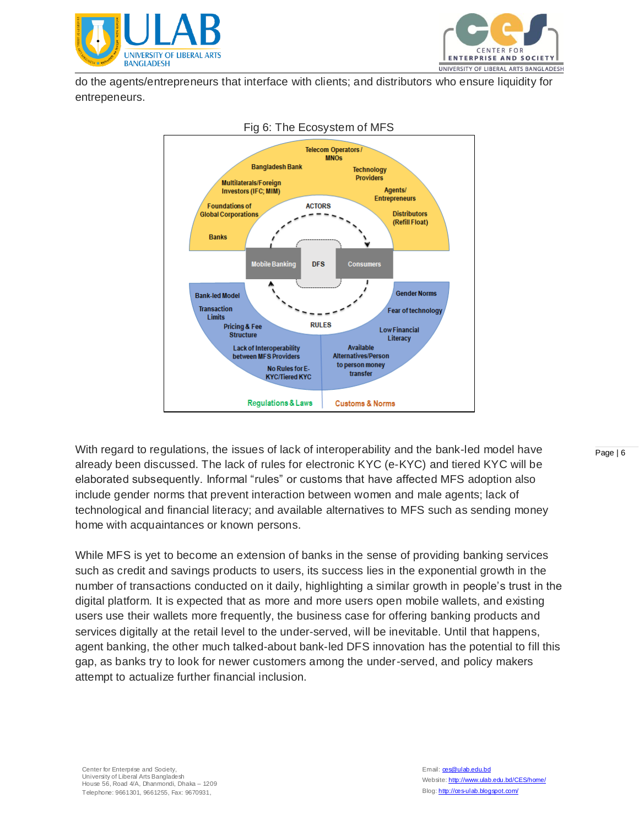



do the agents/entrepreneurs that interface with clients; and distributors who ensure liquidity for entrepeneurs.



#### Fig 6: The Ecosystem of MFS

With regard to regulations, the issues of lack of interoperability and the bank-led model have already been discussed. The lack of rules for electronic KYC (e-KYC) and tiered KYC will be elaborated subsequently. Informal "rules" or customs that have affected MFS adoption also include gender norms that prevent interaction between women and male agents; lack of technological and financial literacy; and available alternatives to MFS such as sending money home with acquaintances or known persons.

While MFS is yet to become an extension of banks in the sense of providing banking services such as credit and savings products to users, its success lies in the exponential growth in the number of transactions conducted on it daily, highlighting a similar growth in people's trust in the digital platform. It is expected that as more and more users open mobile wallets, and existing users use their wallets more frequently, the business case for offering banking products and services digitally at the retail level to the under-served, will be inevitable. Until that happens, agent banking, the other much talked-about bank-led DFS innovation has the potential to fill this gap, as banks try to look for newer customers among the under-served, and policy makers attempt to actualize further financial inclusion.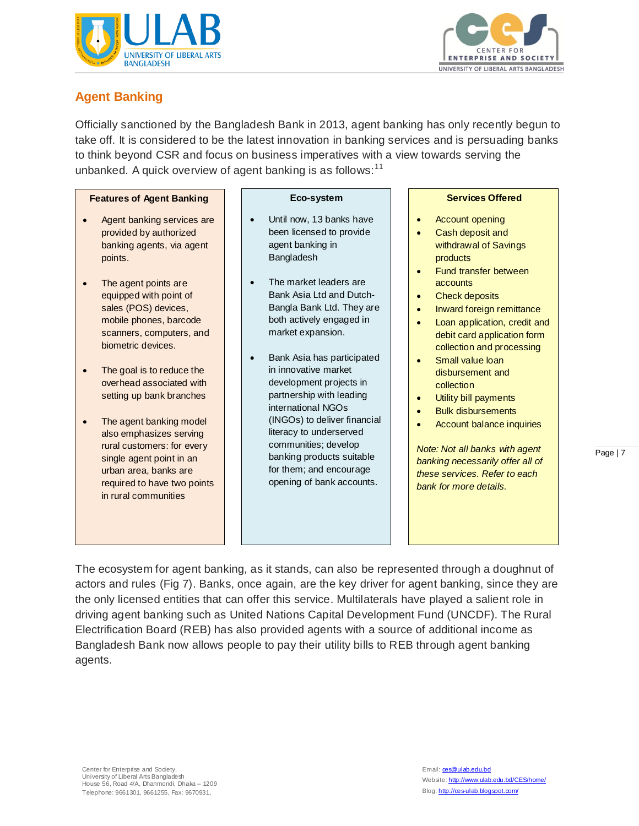



## **Agent Banking**

Officially sanctioned by the Bangladesh Bank in 2013, agent banking has only recently begun to take off. It is considered to be the latest innovation in banking services and is persuading banks to think beyond CSR and focus on business imperatives with a view towards serving the unbanked. A quick overview of agent banking is as follows:<sup>11</sup>

#### **Features of Agent Banking**

- Agent banking services are provided by authorized banking agents, via agent points.
- The agent points are equipped with point of sales (POS) devices, mobile phones, barcode scanners, computers, and biometric devices.
- The goal is to reduce the overhead associated with setting up bank branches
- The agent banking model also emphasizes serving rural customers: for every single agent point in an urban area, banks are required to have two points in rural communities

#### **Eco-system**

- Until now, 13 banks have been licensed to provide agent banking in Bangladesh
- The market leaders are Bank Asia Ltd and Dutch-Bangla Bank Ltd. They are both actively engaged in market expansion.
- Bank Asia has participated in innovative market development projects in partnership with leading international NGOs (INGOs) to deliver financial literacy to underserved communities; develop banking products suitable for them; and encourage opening of bank accounts.

#### **Services Offered**

- Account opening
- Cash deposit and withdrawal of Savings products
- Fund transfer between accounts
- Check deposits
- Inward foreign remittance
- Loan application, credit and debit card application form collection and processing
- Small value loan disbursement and collection
- Utility bill payments
- Bulk disbursements
- Account balance inquiries

*Note: Not all banks with agent banking necessarily offer all of these services. Refer to each bank for more details.*

The ecosystem for agent banking, as it stands, can also be represented through a doughnut of actors and rules (Fig 7). Banks, once again, are the key driver for agent banking, since they are the only licensed entities that can offer this service. Multilaterals have played a salient role in driving agent banking such as United Nations Capital Development Fund (UNCDF). The Rural Electrification Board (REB) has also provided agents with a source of additional income as Bangladesh Bank now allows people to pay their utility bills to REB through agent banking agents.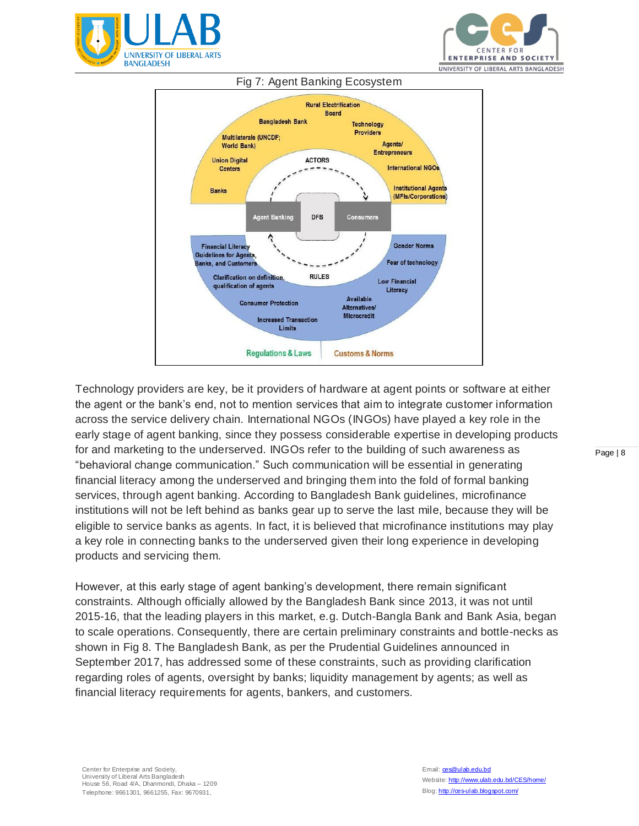





## Technology providers are key, be it providers of hardware at agent points or software at either the agent or the bank's end, not to mention services that aim to integrate customer information across the service delivery chain. International NGOs (INGOs) have played a key role in the early stage of agent banking, since they possess considerable expertise in developing products for and marketing to the underserved. INGOs refer to the building of such awareness as "behavioral change communication." Such communication will be essential in generating financial literacy among the underserved and bringing them into the fold of formal banking services, through agent banking. According to Bangladesh Bank guidelines, microfinance institutions will not be left behind as banks gear up to serve the last mile, because they will be eligible to service banks as agents. In fact, it is believed that microfinance institutions may play a key role in connecting banks to the underserved given their long experience in developing products and servicing them.

However, at this early stage of agent banking's development, there remain significant constraints. Although officially allowed by the Bangladesh Bank since 2013, it was not until 2015-16, that the leading players in this market, e.g. Dutch-Bangla Bank and Bank Asia, began to scale operations. Consequently, there are certain preliminary constraints and bottle-necks as shown in Fig 8. The Bangladesh Bank, as per the Prudential Guidelines announced in September 2017, has addressed some of these constraints, such as providing clarification regarding roles of agents, oversight by banks; liquidity management by agents; as well as financial literacy requirements for agents, bankers, and customers.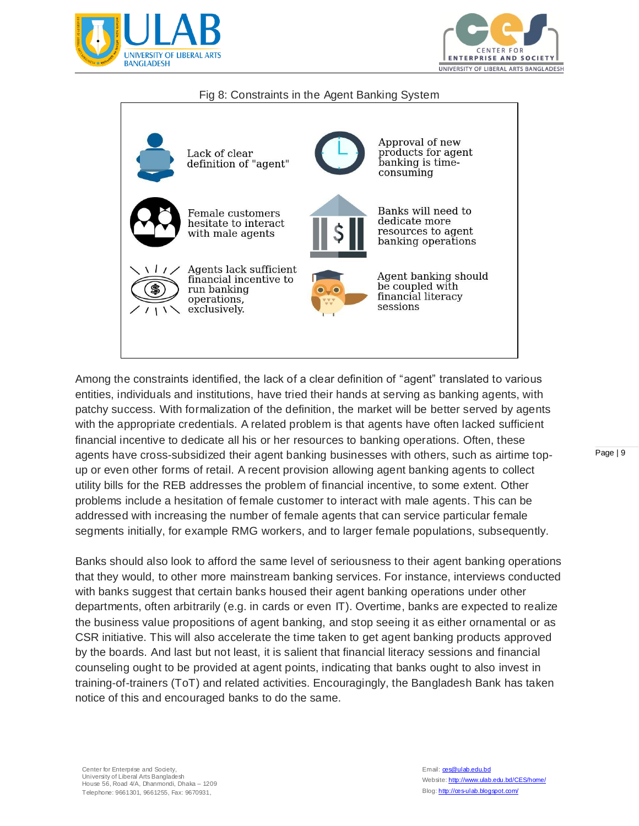



### Fig 8: Constraints in the Agent Banking System



Among the constraints identified, the lack of a clear definition of "agent" translated to various entities, individuals and institutions, have tried their hands at serving as banking agents, with patchy success. With formalization of the definition, the market will be better served by agents with the appropriate credentials. A related problem is that agents have often lacked sufficient financial incentive to dedicate all his or her resources to banking operations. Often, these agents have cross-subsidized their agent banking businesses with others, such as airtime topup or even other forms of retail. A recent provision allowing agent banking agents to collect utility bills for the REB addresses the problem of financial incentive, to some extent. Other problems include a hesitation of female customer to interact with male agents. This can be addressed with increasing the number of female agents that can service particular female segments initially, for example RMG workers, and to larger female populations, subsequently.

Banks should also look to afford the same level of seriousness to their agent banking operations that they would, to other more mainstream banking services. For instance, interviews conducted with banks suggest that certain banks housed their agent banking operations under other departments, often arbitrarily (e.g. in cards or even IT). Overtime, banks are expected to realize the business value propositions of agent banking, and stop seeing it as either ornamental or as CSR initiative. This will also accelerate the time taken to get agent banking products approved by the boards. And last but not least, it is salient that financial literacy sessions and financial counseling ought to be provided at agent points, indicating that banks ought to also invest in training-of-trainers (ToT) and related activities. Encouragingly, the Bangladesh Bank has taken notice of this and encouraged banks to do the same.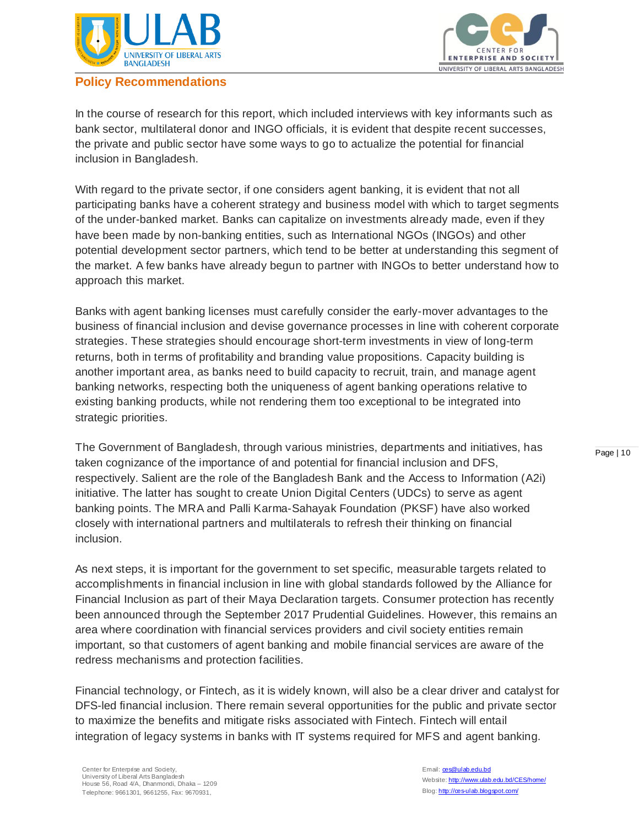

## **Policy Recommendations**



In the course of research for this report, which included interviews with key informants such as bank sector, multilateral donor and INGO officials, it is evident that despite recent successes, the private and public sector have some ways to go to actualize the potential for financial inclusion in Bangladesh.

With regard to the private sector, if one considers agent banking, it is evident that not all participating banks have a coherent strategy and business model with which to target segments of the under-banked market. Banks can capitalize on investments already made, even if they have been made by non-banking entities, such as International NGOs (INGOs) and other potential development sector partners, which tend to be better at understanding this segment of the market. A few banks have already begun to partner with INGOs to better understand how to approach this market.

Banks with agent banking licenses must carefully consider the early-mover advantages to the business of financial inclusion and devise governance processes in line with coherent corporate strategies. These strategies should encourage short-term investments in view of long-term returns, both in terms of profitability and branding value propositions. Capacity building is another important area, as banks need to build capacity to recruit, train, and manage agent banking networks, respecting both the uniqueness of agent banking operations relative to existing banking products, while not rendering them too exceptional to be integrated into strategic priorities.

The Government of Bangladesh, through various ministries, departments and initiatives, has taken cognizance of the importance of and potential for financial inclusion and DFS, respectively. Salient are the role of the Bangladesh Bank and the Access to Information (A2i) initiative. The latter has sought to create Union Digital Centers (UDCs) to serve as agent banking points. The MRA and Palli Karma-Sahayak Foundation (PKSF) have also worked closely with international partners and multilaterals to refresh their thinking on financial inclusion.

As next steps, it is important for the government to set specific, measurable targets related to accomplishments in financial inclusion in line with global standards followed by the Alliance for Financial Inclusion as part of their Maya Declaration targets. Consumer protection has recently been announced through the September 2017 Prudential Guidelines. However, this remains an area where coordination with financial services providers and civil society entities remain important, so that customers of agent banking and mobile financial services are aware of the redress mechanisms and protection facilities.

Financial technology, or Fintech, as it is widely known, will also be a clear driver and catalyst for DFS-led financial inclusion. There remain several opportunities for the public and private sector to maximize the benefits and mitigate risks associated with Fintech. Fintech will entail integration of legacy systems in banks with IT systems required for MFS and agent banking.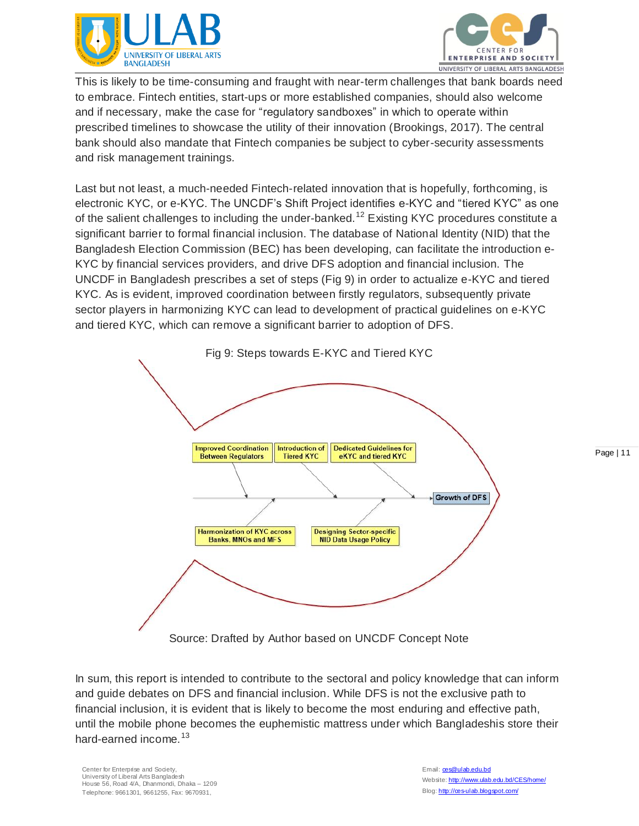



This is likely to be time-consuming and fraught with near-term challenges that bank boards need to embrace. Fintech entities, start-ups or more established companies, should also welcome and if necessary, make the case for "regulatory sandboxes" in which to operate within prescribed timelines to showcase the utility of their innovation (Brookings, 2017). The central bank should also mandate that Fintech companies be subject to cyber-security assessments and risk management trainings.

Last but not least, a much-needed Fintech-related innovation that is hopefully, forthcoming, is electronic KYC, or e-KYC. The UNCDF's Shift Project identifies e-KYC and "tiered KYC" as one of the salient challenges to including the under-banked.<sup>12</sup> Existing KYC procedures constitute a significant barrier to formal financial inclusion. The database of National Identity (NID) that the Bangladesh Election Commission (BEC) has been developing, can facilitate the introduction e-KYC by financial services providers, and drive DFS adoption and financial inclusion. The UNCDF in Bangladesh prescribes a set of steps (Fig 9) in order to actualize e-KYC and tiered KYC. As is evident, improved coordination between firstly regulators, subsequently private sector players in harmonizing KYC can lead to development of practical guidelines on e-KYC and tiered KYC, which can remove a significant barrier to adoption of DFS.



In sum, this report is intended to contribute to the sectoral and policy knowledge that can inform and guide debates on DFS and financial inclusion. While DFS is not the exclusive path to financial inclusion, it is evident that is likely to become the most enduring and effective path, until the mobile phone becomes the euphemistic mattress under which Bangladeshis store their hard-earned income.<sup>13</sup>

Center for Enterprise and Society. University of Liberal Arts Bangladesh House 56, Road 4/A, Dhanmondi, Dhaka – 1209 Telephone: 9661301, 9661255, Fax: 9670931,